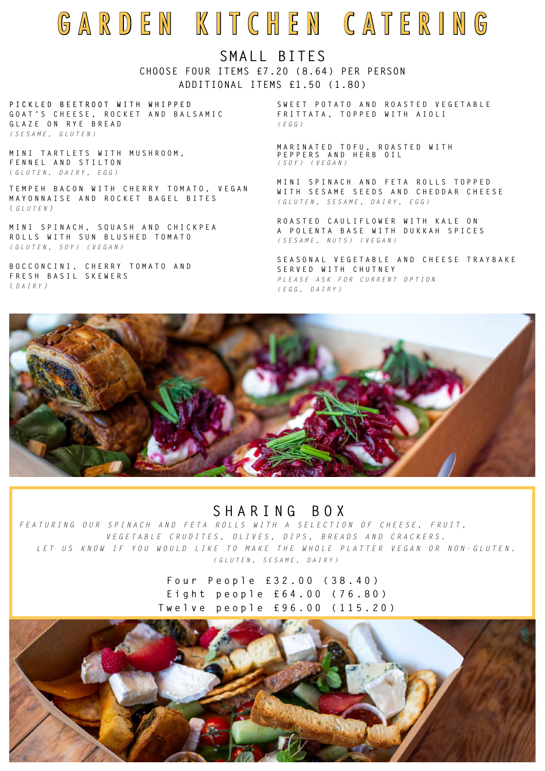# GARDEN KITCHEN CATERING

**P I C K L E D B E E T R O O T W I T H W H I P P E D G O A T ' S C H E E S E , R O C K E T A N D B A L S A M I C GLAZE ON RYE BREAD**  *( S ESAME, GLUTEN)*

**M I N I T A R T L E T S W I T H M U S H R O O M , F E N N E L A N D S T I L T O N**  ( *GLUTEN, DAIRY, EGG)*

**TEMPEH BACON WITH CHERRY TOMATO, VEGAN M A Y O N N A I S E A N D R O C K E T B A G E L B I T E S**  ( *GLUTEN )* 

**M I N I S P I N A C H , S Q U A S H A N D C H I C K P E A R O L L S W I T H S U N B L U S H E D T O M A T O**  *( GLUTEN, SOY) (VEGAN)*

SWEET POTATO AND ROASTED VEGETABLE **F R I T T A T A , T O P P E D W I T H A I O L I**  *(EGG )*

**B O C C O N C I N I , C H E R R Y T O M A T O A N D FRESH BASIL SKEWERS**  ( *DAIRY )* 

## **SHARING BOX**

*FEATURING OUR SPINACH AND FETA ROLLS WITH A SELECTION OF CHEESE, FRUIT, VEGETABLE CRUDITES, OLIVES, DIPS, BREADS AND CRACKERS.*

 *LET US KNOW IF YOU WOULD LIKE TO MAKE THE WHOLE PLATTER VEGAN OR NON-GLUTEN. (GLUTEN, SESAME, DAIRY)*

> **Four People £32.00 (38.40) Eight people £64.00 (76.80) Twelve people £96.00 (115.20)**



**M A R I N A T E D T O F U , R O A S T E D W I T H P E P P E R S A N D H E R B O I L**  *(SOY) (VEGAN)*

**M I N I S P I N A C H A N D F E T A R O L L S T O P P E D**  W I T H S E S A M E S E E D S A N D C H E D D A R C H E E S E *(GLUTEN, SESAME, DAIRY, EGG)*

**ROASTED CAULIFLOWER WITH KALE ON A P O L E N T A B A S E W I T H D U K K A H S P I C E S**  *(SESAME, NUTS) (VEGAN)*

**S E A S O N A L V E G E T A B L E A N D C H E E S E T R A Y B A K E SERVED WITH CHUTNEY** *PLEASE ASK FOR CURRENT OPTION (EGG, DAIRY)*



## **SMALL BITES CHOOSE FOUR ITEMS £7.20 (8.64) PER PERSON ADDITIONAL ITEMS £1.50 (1.80)**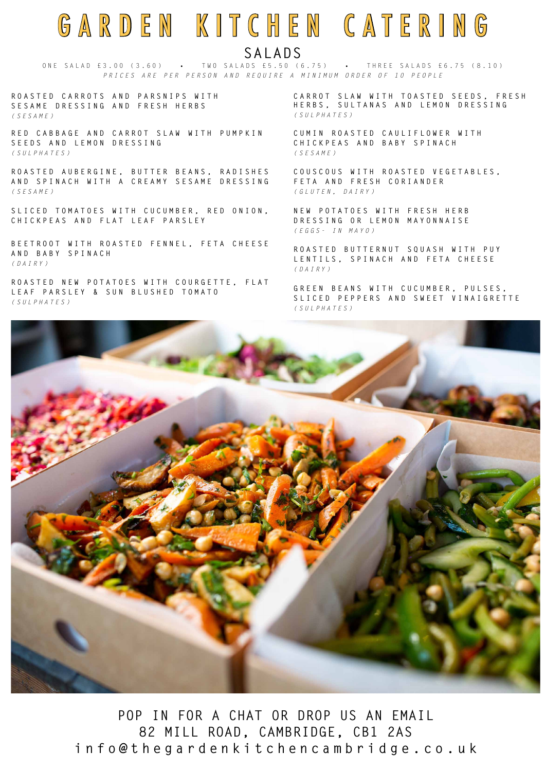## GARDEN KITCHEN CATERING **SALADS**

ONE SALAD £3.00 (3.60) • TWO SALADS £5.50 (6.75) • THREE SALADS £6.75 (8.10) P R I C E S A R E P E R P E R S O N A N D R E Q U I R E A M I N I M U M O R D E R O F 10 P E O P L E

R E D C A B B A G E A N D C A R R O T S L A W W I T H P U M P K I N **S E E D S A N D L E M O N D R E S S I N G**  *(SULPHATES)*

**R O A S T E D C A R R O T S A N D P A R S N I P S W I T H S E S A M E D R E S S I N G A N D F R E S H H E R B S** *(SESAME)*

R O A S T E D A U B E R G I N E , B U T T E R B E A N S , R A D I S H E S **A N D S P I N A C H W I T H A C R E A M Y S E S A M E D R E S S I N G**  *(SESAME)*

S L I C E D T O M A T O E S W I T H C U C U M B E R , R E D O N I O N , **CHICKPEAS AND FLAT LEAF PARSLEY**

B E E T R O O T W I T H R O A S T E D F E N N E L, F E T A C H E E S E **A N D B A B Y S P I N A C H**  *(DAIRY)*

ROASTED NEW POTATOES WITH COURGETTE, FLAT

C A R R O T S L A W W I T H T O A S T E D S E E D S , F R E S H **HERBS, SULTANAS AND LEMON DRESSING** *(SULPHATES)*

#### **L E A F P A R S L E Y & S U N B L U S H E D T O M A T O**  *(SULPHATES)*

**CUMIN ROASTED CAULIFLOWER WITH C H I C K P E A S A N D B A B Y S P I N A C H**  *(SESAME)*

**C O U S C O U S W I T H R O A S T E D V E G E T A B L E S , F E T A A N D F R E S H C O R I A N D E R**  *(GLUTEN, DAIRY)*

**N E W P O T A T O E S W I T H F R E S H H E R B D R E S S I N G O R L E M O N M A Y O N N A I S E**  *(EGGS- IN MAYO)*

**R O A S T E D B U T T E R N U T S Q U A S H W I T H P U Y L E N T I L S , S P I N A C H A N D F E T A C H E E S E**  *(DAIRY)*

**G R E E N B E A N S W I T H C U C U M B E R , P U L S E S ,** 

### **S L I C E D P E P P E R S A N D S W E E T V I N A I G R E T T E**  *(SULPHATES)*



## **POP IN FOR A CHAT OR DROP US AN EMAIL 82 MILL ROAD, CAMBRIDGE, CB1 2AS info@thegardenkitchencambridge.co.uk**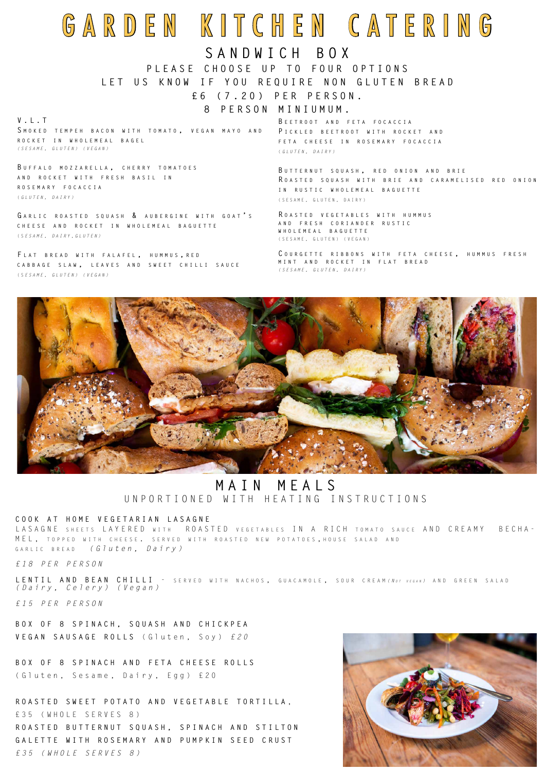## **SANDWICH BOX**

## **P L E A S E C H O O S E U P T O F O U R O P T I O N S**

### **LET US KNOW IF YOU REQUIRE NON GLUTEN BREAD**

**£ 6 ( 7 . 2 0 ) P E R P E R S O N .** 

### **8 PERSON MINIUMUM.**

**B eetroot and feta focaccia P ic k l ed beetroot with roc k et and feta cheese in rosemar y focaccia** ( *GLUTEN, DAIRY)*

**B u ttern u t s q u ash , red onion and brie R oasted s q u ash with brie and carame l ised red onion in r u stic who l emea l bag u ette** (SESAME, GLUTEN, DAIRY)

**R oasted v egetab l es with h u mm u s and fresh coriander r u stic who l emea l bag u ette** (SESAME, GLUTEN) (VEGAN)

**C o u rgette ribbons with feta cheese , h u mm u s fresh mint and roc k et in f l at bread** *(SESAME, GLUTEN, DAIRY)*



#### **V . L . T**

**S mo k ed tempeh bacon with tomato , v egan ma y o and roc k et in who l emea l bage l**  *( S E S A M E , G L U T E N ) ( V E G A N )* 

L A S A G N E S HEETS L A Y E R E D W ITH ROASTED VEGETABLES IN A RICH TOMATO SAUCE AND CREAMY BECHA-M E L, TOPPED WITH CHEESE. SERVED WITH ROASTED NEW POTATOES, HOUSE SALAD AND garl i c b read *( G l u t e n , D a i r y )* 

**B u ffa l o mo z z are l l a , cherr y tomatoes and roc k et with fresh basi l in rosemar y focaccia** ( *GLUTEN, DAIRY)*

**G ar l ic roasted s q u ash & a u bergine with goat ' s cheese and roc k et in who l emea l bag u ette**  ( S *ESAME, DAIRY,GLUTEN)*

**F l at bread with fa l afe l , h u mm u s , red cabbage s l aw , l ea v es and sweet chi l l i sa u ce**  ( S *ESAME, GLUTEN) (VEGAN)*

## GARDEN KITCHEN CATERING

#### **COOK AT HOME VEGETARIAN LASAGNE**

*£18 PER PERSON*

LENTIL AND BEAN CHILLI - SERVED WITH NACHOS, GUACAMOLE, SOUR CREAM (NOT VEGAN) AND GREEN SALAD

*(Dairy, Celery) (Vegan)*

*£15 PER PERSON*

**B O X O F 8 S P I N A C H , S Q U A S H A N D C H I C K P E A VEGAN SAUSAGE ROLLS** (Gluten, Soy) *£20*

**BOX OF 8 SPINACH AND FETA CHEESE ROLLS** (Gluten, Sesame, Dairy, Egg) £20

**ROASTED SWEET POTATO AND VEGETABLE TORTILLA** , £35 (WHOLE SERVES 8) R O A S T E D B U T T E R N U T S Q U A S H , S P I N A C H A N D S T I L T O N **GALETTE WITH ROSEMARY AND PUMPKIN SEED CRUST** *£35 (WHOLE SERVES 8)*



## **MAIN MEALS** U N P O R T I O N E D W I T H H E A T I N G I N S T R U C T I O N S